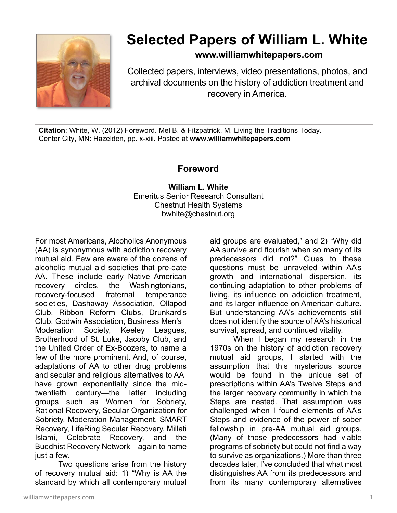

## **Selected Papers of William L. White**

**www.williamwhitepapers.com**

Collected papers, interviews, video presentations, photos, and archival documents on the history of addiction treatment and recovery in America.

**Citation**: White, W. (2012) Foreword. Mel B. & Fitzpatrick, M. Living the Traditions Today. Center City, MN: Hazelden, pp. x-xiii. Posted at **www.williamwhitepapers.com** 

## **Foreword**

**William L. White**  Emeritus Senior Research Consultant Chestnut Health Systems bwhite@chestnut.org

For most Americans, Alcoholics Anonymous (AA) is synonymous with addiction recovery mutual aid. Few are aware of the dozens of alcoholic mutual aid societies that pre-date AA. These include early Native American recovery circles, the Washingtonians, recovery-focused fraternal temperance societies, Dashaway Association, Ollapod Club, Ribbon Reform Clubs, Drunkard's Club, Godwin Association, Business Men's Moderation Society, Keeley Leagues, Brotherhood of St. Luke, Jacoby Club, and the United Order of Ex-Boozers, to name a few of the more prominent. And, of course, adaptations of AA to other drug problems and secular and religious alternatives to AA have grown exponentially since the midtwentieth century—the latter including groups such as Women for Sobriety, Rational Recovery, Secular Organization for Sobriety, Moderation Management, SMART Recovery, LifeRing Secular Recovery, Millati Islami, Celebrate Recovery, and the Buddhist Recovery Network—again to name just a few.

Two questions arise from the history of recovery mutual aid: 1) "Why is AA the standard by which all contemporary mutual

aid groups are evaluated," and 2) "Why did AA survive and flourish when so many of its predecessors did not?" Clues to these questions must be unraveled within AA's growth and international dispersion, its continuing adaptation to other problems of living, its influence on addiction treatment, and its larger influence on American culture. But understanding AA's achievements still does not identify the source of AA's historical survival, spread, and continued vitality.

When I began my research in the 1970s on the history of addiction recovery mutual aid groups, I started with the assumption that this mysterious source would be found in the unique set of prescriptions within AA's Twelve Steps and the larger recovery community in which the Steps are nested. That assumption was challenged when I found elements of AA's Steps and evidence of the power of sober fellowship in pre-AA mutual aid groups. (Many of those predecessors had viable programs of sobriety but could not find a way to survive as organizations.) More than three decades later, I've concluded that what most distinguishes AA from its predecessors and from its many contemporary alternatives